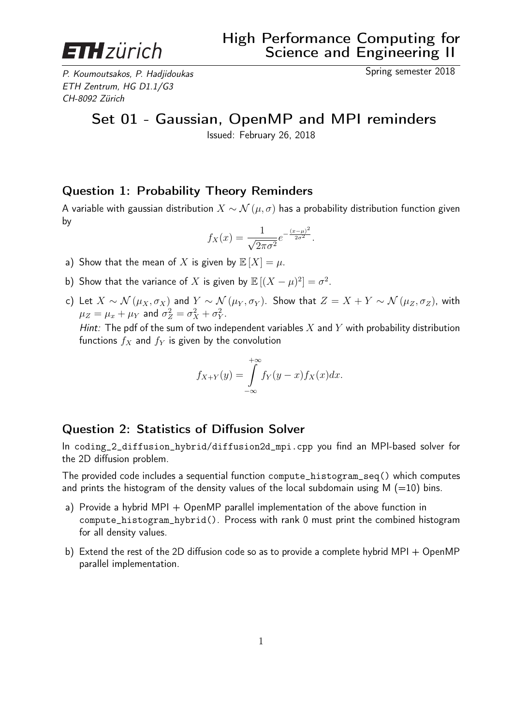

P. Koumoutsakos, P. Hadjidoukas Spring semester 2018 ETH Zentrum, HG D1.1/G3 CH-8092 Zürich

## Set 01 - Gaussian, OpenMP and MPI reminders

Issued: February 26, 2018

## Question 1: Probability Theory Reminders

A variable with gaussian distribution  $X \sim \mathcal{N}(\mu, \sigma)$  has a probability distribution function given by

$$
f_X(x) = \frac{1}{\sqrt{2\pi\sigma^2}} e^{-\frac{(x-\mu)^2}{2\sigma^2}}.
$$

- a) Show that the mean of X is given by  $\mathbb{E}[X] = \mu$ .
- b) Show that the variance of X is given by  $\mathbb{E}[(X-\mu)^2]=\sigma^2$ .
- c) Let  $X \sim \mathcal{N}(\mu_X, \sigma_X)$  and  $Y \sim \mathcal{N}(\mu_Y, \sigma_Y)$ . Show that  $Z = X + Y \sim \mathcal{N}(\mu_Z, \sigma_Z)$ , with  $\mu_Z = \mu_x + \mu_Y$  and  $\sigma_Z^2 = \sigma_X^2 + \sigma_Y^2$ .

Hint: The pdf of the sum of two independent variables  $X$  and  $Y$  with probability distribution functions  $f_X$  and  $f_Y$  is given by the convolution

$$
f_{X+Y}(y) = \int_{-\infty}^{+\infty} f_Y(y-x) f_X(x) dx.
$$

## Question 2: Statistics of Diffusion Solver

In coding\_2\_diffusion\_hybrid/diffusion2d\_mpi.cpp you find an MPI-based solver for the 2D diffusion problem.

The provided code includes a sequential function compute\_histogram\_seq() which computes and prints the histogram of the density values of the local subdomain using  $M$  (=10) bins.

- a) Provide a hybrid MPI  $+$  OpenMP parallel implementation of the above function in compute\_histogram\_hybrid(). Process with rank 0 must print the combined histogram for all density values.
- b) Extend the rest of the 2D diffusion code so as to provide a complete hybrid MPI + OpenMP parallel implementation.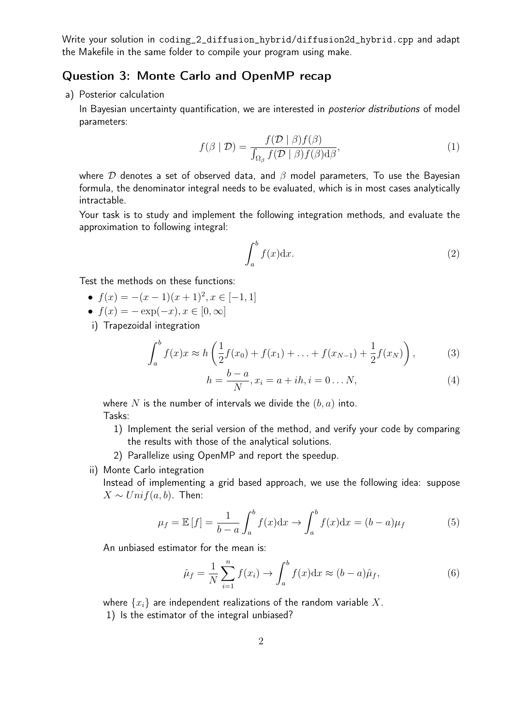Write your solution in coding\_2\_diffusion\_hybrid/diffusion2d\_hybrid.cpp and adapt the Makefile in the same folder to compile your program using make.

## Question 3: Monte Carlo and OpenMP recap

a) Posterior calculation

In Bayesian uncertainty quantification, we are interested in *posterior distributions* of model parameters:

$$
f(\beta \mid \mathcal{D}) = \frac{f(\mathcal{D} \mid \beta) f(\beta)}{\int_{\Omega_{\beta}} f(\mathcal{D} \mid \beta) f(\beta) d\beta},\tag{1}
$$

where  $D$  denotes a set of observed data, and  $\beta$  model parameters, To use the Bayesian formula, the denominator integral needs to be evaluated, which is in most cases analytically intractable.

Your task is to study and implement the following integration methods, and evaluate the approximation to following integral:

$$
\int_{a}^{b} f(x) \mathrm{d}x. \tag{2}
$$

Test the methods on these functions:

- $f(x) = -(x-1)(x+1)^2, x \in [-1,1]$
- $f(x) = -\exp(-x), x \in [0, \infty]$
- i) Trapezoidal integration

$$
\int_{a}^{b} f(x)x \approx h\left(\frac{1}{2}f(x_0) + f(x_1) + \ldots + f(x_{N-1}) + \frac{1}{2}f(x_N)\right),\tag{3}
$$

$$
h = \frac{b-a}{N}, x_i = a + ih, i = 0...N,
$$
\n(4)

where N is the number of intervals we divide the  $(b, a)$  into. Tasks:

- 1) Implement the serial version of the method, and verify your code by comparing the results with those of the analytical solutions.
- 2) Parallelize using OpenMP and report the speedup.
- ii) Monte Carlo integration

Instead of implementing a grid based approach, we use the following idea: suppose  $X \sim Unif(a, b)$ . Then:

$$
\mu_f = \mathbb{E}[f] = \frac{1}{b-a} \int_a^b f(x) dx \to \int_a^b f(x) dx = (b-a)\mu_f \tag{5}
$$

An unbiased estimator for the mean is:

$$
\hat{\mu}_f = \frac{1}{N} \sum_{i=1}^n f(x_i) \to \int_a^b f(x) dx \approx (b-a)\hat{\mu}_f,
$$
\n(6)

where  $\{x_i\}$  are independent realizations of the random variable X.

1) Is the estimator of the integral unbiased?